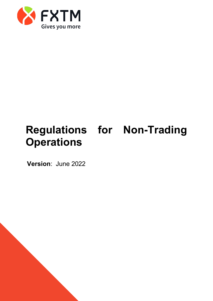

# **Regulations for Non-Trading Operations**

**Version**: June 2022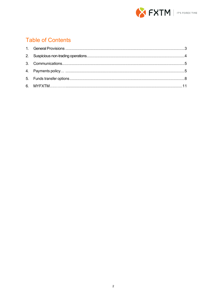

#### **Table of Contents**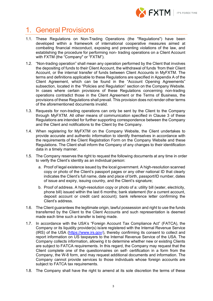

## <span id="page-2-0"></span>1. General Provisions

- 1.1. These Regulations on Non-Trading Operations (the "Regulations") have been developed within a framework of international cooperative measures aimed at combating financial misconduct, exposing and preventing violations of the law, and establishing the procedure for performing non- trading operations on a Client Account with FXTM (the "Company" or "FXTM").
- 1.2. "Non-trading operation" shall mean any operation performed by the Client that involves the depositing of funds to their Client Account, the withdrawal of funds 'from their Client Account, or the internal transfer of funds between Client Accounts in MyFXTM. The terms and definitions applicable to these Regulations are specified in Appendix A of the Client Agreement, which can be found in the "Account Opening Agreements" subsection, located in the "Policies and Regulation" section on the Company Website. In cases where certain provisions of these Regulations concerning non-trading operations contradict those in the Client Agreement or the Terms of Business, the provisions of these Regulations shall prevail. This provision does not render other terms of the aforementioned documents invalid.
- 1.3. Requests for non-trading operations can only be sent by the Client to the Company through MyFXTM. All other means of communication specified in Clause 3 of these Regulations are intended for further supporting correspondence between the Company and the Client and notifications to the Client by the Company.
- 1.4. When registering for MyFXTM on the Company Website, the Client undertakes to provide accurate and authentic information to identify themselves in accordance with the requirements of the Client Registration Form on the Company Website and these Regulations. The Client shall inform the Company of any changes to their identification data in a timely manner.
- 1.5. The Company reserves the right to request the following documents at any time in order to verify the Client's identity as an individual person:
	- a. Proof of legal existence issued by the local government. A high-resolution scanned copy or photo of the Client's passport pages or any other national ID that clearly indicates the Client's full name, date and place of birth, passport/ID number, dates of issue and expiry, issuing country, and the Client's signature;
	- b. Proof of address. A high-resolution copy or photo of a: utility bill (water, electricity, phone bill) issued within the last 6 months; bank statement (for a current account, deposit account or credit card account); bank reference letter confirming the Client's address.
- 1.6. The Client guarantees the legitimate origin, lawful possession and right to use the funds transferred by the Client to the Client Accounts and such representation is deemed made each time such a transfer is being made.
- 1.7. In accordance with the USA's "Foreign Account Tax Compliance Act" (FATCA), the Company or its liquidity provider(s) is/are registered with the Internal Revenue Service (IRS) of the USA [\(https://www.irs.gov/\),](https://www.irs.gov/) thereby confirming its consent to collect and report information on US taxpayers to the Internal Revenue Service of the USA. The Company collects information, allowing it to determine whether new or existing Clients are subject to FATCA requirements. In this regard, the Company may request that the Client complete one of the questionnaires on self- certification in a form from the Company, the W-8 form, and may request additional documents and information. The Company cannot provide services to those individuals whose foreign accounts are subject to FATCA tax requirements.
- 1.8. The Company shall have the right to amend at its sole discretion the terms of these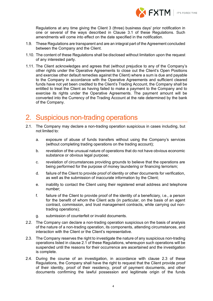

Regulations at any time giving the Client 3 (three) business days' prior notification in one or several of the ways described in Clause [3.1 o](#page-4-2)f these Regulations. Such amendments will come into effect on the date specified in the notification.

- 1.9. These Regulations are transparent and are an integral part of the Agreement concluded between the Company and the Client.
- 1.10. The content of these Regulations shall be disclosed without limitation upon the request of any interested party.
- 1.11. The Client acknowledges and agrees that (without prejudice to any of the Company's other rights under the Operative Agreements to close out the Client's Open Positions and exercise other default remedies against the Client) where a sum is due and payable to the Company in accordance with the Operative Agreements and sufficient cleared funds have not yet been credited to the Client's Trading Account, the Company shall be entitled to treat the Client as having failed to make a payment to the Company and to exercise its rights under the Operative Agreements. The payment amount will be converted into the Currency of the Trading Account at the rate determined by the bank of the Company.

### <span id="page-3-0"></span>2. Suspicious non-trading operations

- <span id="page-3-1"></span>2.1. The Company may declare a non-trading operation suspicious in cases including, but not limited to:
	- a. exposure of abuse of funds transfers without using the Company's services (without completing trading operations on the trading account);
	- b. revelation of the unusual nature of operations that do not have obvious economic substance or obvious legal purpose;
	- c. revelation of circumstances providing grounds to believe that the operations are being performed for the purpose of money laundering or financing terrorism;
	- d. failure of the Client to provide proof of identity or other documents for verification, as well as the submission of inaccurate information by the Client;
	- e. inability to contact the Client using their registered email address and telephone number;
	- f. failure of the Client to provide proof of the identity of a beneficiary, i.e., a person for the benefit of whom the Client acts (in particular, on the basis of an agent contract, commission, and trust management contracts, while carrying out nontrading operations);
	- g. submission of counterfeit or invalid documents.
- 2.2. The Company can declare a non-trading operation suspicious on the basis of analysis of the nature of a non-trading operation, its components, attending circumstances, and interaction with the Client or the Client's representative.
- <span id="page-3-2"></span>2.3. The Company reserves the right to investigate the nature of any suspicious non-trading operations listed in clause [2.1 o](#page-3-1)f these Regulations, whereupon such operations will be suspended until the reasons for their occurrence are ascertained and the investigation is complete.
- 2.4. During the course of an investigation, in accordance with clause [2.3](#page-3-2) of these Regulations, the Company shall have the right to request that the Client provide proof of their identity, proof of their residency, proof of payment documents, and other documents confirming the lawful possession and legitimate origin of the funds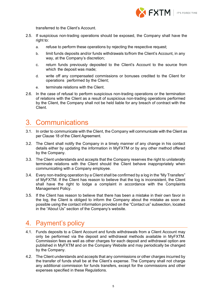

transferred to the Client's Account.

- 2.5. If suspicious non-trading operations should be exposed, the Company shall have the right to:
	- a. refuse to perform these operations by rejecting the respective request;
	- b. limit funds deposits and/or funds withdrawals to/from the Client's Account, in any way, at the Company's discretion;
	- c. return funds previously deposited to the Client's Account to the source from which the deposit was made;
	- d. write off any compensated commissions or bonuses credited to the Client for operations performed by the Client;
	- e. terminate relations with the Client.
- 2.6. In the case of refusal to perform suspicious non-trading operations or the termination of relations with the Client as a result of suspicious non-trading operations performed by the Client, the Company shall not be held liable for any breach of contract with the Client.

### <span id="page-4-0"></span>3. Communications

- <span id="page-4-2"></span>3.1. In order to communicate with the Client, the Company will communicate with the Client as per Clause 18 of the Client Agreement.
- 3.2. The Client shall notify the Company in a timely manner of any change in his contact details either by updating the information in MyFXTM or by any other method offered by the Company.
- 3.3. The Client understands and accepts that the Company reserves the right to unilaterally terminate relations with the Client should the Client behave inappropriately when communicating with a Company employee.
- 3.4. Every non-trading operation by a Client shall be confirmed by a log in the "My Transfers" of MyFXTM. If the Client has reason to believe that the log is inconsistent, the Client shall have the right to lodge a complaint in accordance with the Complaints Management Policy.
- 3.5. If the Client has reason to believe that there has been a mistake in their own favor in the log, the Client is obliged to inform the Company about the mistake as soon as possible using the contact information provided on the "Contact us" subsection, located in the "About Us" section of the Company's website.

### <span id="page-4-1"></span>4. Payment's policy

- 4.1. Funds deposits to a Client Account and funds withdrawals from a Client Account may only be performed via the deposit and withdrawal methods available in MyFXTM. Commission fees as well as other charges for each deposit and withdrawal option are published in MyFXTM and on the Company Website and may periodically be changed by the Company.
- 4.2. The Client understands and accepts that any commissions or other charges incurred by the transfer of funds shall be at the Client's expense. The Company shall not charge any additional commission for funds transfers, except for the commissions and other expenses specified in these Regulations.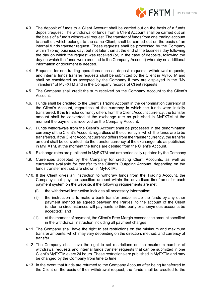

- 4.3. The deposit of funds to a Client Account shall be carried out on the basis of a funds deposit request. The withdrawal of funds from a Client Account shall be carried out on the basis of a fund's withdrawal request. The transfer of funds from one trading account to another, which belongs to the same Client, shall be carried out on the basis of an internal funds transfer request. These requests shall be processed by the Company within 1 (one) business day, but not later than at the end of the business day following the day on which the request was received (or, in the case of deposits, following the day on which the funds were credited to the Company Account) whereby no additional information or document is needed.
- 4.4. Requests for non-trading operations such as deposit requests, withdrawal requests, and internal funds transfer requests shall be submitted by the Client in MyFXTM and shall be considered as accepted by the Company if they are displayed in the "My Transfers" of MyFXTM and in the Company records of Client requests.
- 4.5. The Company shall credit the sum received on the Company Account to the Client's Account.
- 4.6. Funds shall be credited to the Client's Trading Account in the denomination currency of the Client's Account, regardless of the currency in which the funds were initially transferred. If the transfer currency differs from the Client Account currency, the transfer amount shall be converted at the exchange rate as published in MyFXTM at the moment the payment is received on the Company Account.
- 4.7. Funds withdrawals from the Client's Account shall be processed in the denomination currency of the Client's Account, regardless of the currency in which the funds are to be transferred. If the Client Account currency differs from the transfer currency, the transfer amount shall be converted into the transfer currency at the exchange rate as published in MyFXTM, at the moment the funds are debited from the Client's Account.
- 4.8. Exchange rates are published in MyFXTM and are periodically updated by the Company.
- 4.9. Currencies accepted by the Company for crediting Client Accounts, as well as currencies available for transfer to the Client's Outgoing Account, depending on the funds transfer method, are shown in MyFXTM.
- 4.10. If the Client gives an instruction to withdraw funds from the Trading Account, the Company shall pay the specified amount within the advertised timeframe for each payment system on the website, if the following requirements are met:
	- (i) the withdrawal instruction includes all necessary information;
	- (ii) the instruction is to make a bank transfer and/or settle the funds by any other payment method as agreed between the Parties, to the account of the Client (under no circumstances will payments to third party or anonymous accounts be accepted); and
	- (iii) at the moment of payment, the Client's Free Margin exceeds the amount specified in the withdrawal instruction including all payment charges.
- 4.11. The Company shall have the right to set restrictions on the minimum and maximum transfer amounts, which may vary depending on the direction, method, and currency of transfer.
- 4.12. The Company shall have the right to set restrictions on the maximum number of withdrawal requests and internal funds transfer requests that can be submitted in one Client's MyFXTM every 24 hours. These restrictions are published in MyFXTM and may be changed by the Company from time to time.
- 4.13. In the event that funds are returned to the Company Account after being transferred to the Client on the basis of their withdrawal request, the funds shall be credited to the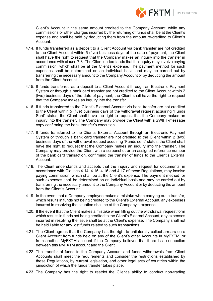

Client's Account in the same amount credited to the Company Account, while any commissions or other charges incurred by the returning of funds shall be at the Client's expense and shall be paid by deducting them from the amount re-credited to Client's Account.

- <span id="page-6-0"></span>4.14. If funds transferred as a deposit to a Client Account via bank transfer are not credited to the Client Account within 5 (five) business days of the date of payment, the Client shall have the right to request that the Company makes an inquiry into the transfer in accordance with clause [7.3.](#page-11-0) The Client understands that the inquiry may involve paying commission, which shall be at the Client's expense. The payment method for such expenses shall be determined on an individual basis and may be carried out by transferring the necessary amount to the Company Account or by deducting the amount from the Client Account.
- <span id="page-6-1"></span>4.15. If funds transferred as a deposit to a Client Account through an Electronic Payment System or through a bank card transfer are not credited to the Client Account within 2 (two) business days of the date of payment, the Client shall have the right to request that the Company makes an inquiry into the transfer.
- <span id="page-6-2"></span>4.16. If funds transferred to the Client's External Account via bank transfer are not credited to the Client within 5 (five) business days of the withdrawal request acquiring "Funds Sent" status, the Client shall have the right to request that the Company makes an inquiry into the transfer. The Company may provide the Client with a SWIFT-message copy confirming the bank transfer's execution.
- <span id="page-6-3"></span>4.17. If funds transferred to the Client's External Account through an Electronic Payment System or through a bank card transfer are not credited to the Client within 2 (two) business days of the withdrawal request acquiring "Funds sent" status, the Client shall have the right to request that the Company makes an inquiry into the transfer. The Company may provide the Client with a screenshot or an assigned reference number of the bank card transaction, confirming the transfer of funds to the Client's External Account.
- 4.18. The Client understands and accepts that the inquiry and request for documents, in accordance with Clauses [4.14,](#page-6-0) [4.15,](#page-6-1) [4.16](#page-6-2) and [4.17](#page-6-3) of these Regulations, may involve paying commission, which shall be at the Client's expense. The payment method for such expenses shall be determined on an individual basis and may be carried out by transferring the necessary amount to the Company Account or by deducting the amount from the Client's Account.
- 4.19. In the event that a Company employee makes a mistake when carrying out a transfer, which results in funds not being credited to the Client's External Account, any expenses incurred in resolving the situation shall be at the Company's expense.
- 4.20. If the event that the Client makes a mistake when filling out the withdrawal request form which results in funds not being credited to the Client's External Account, any expenses incurred in resolving the issue shall be at the Client's expense. The Company shall not be held liable for any lost funds related to such transactions.
- 4.21. The Client agrees that the Company has the right to unilaterally collect arrears on a Client Account from funds held on any of the Client's other Accounts in MyFXTM, or from another MyFXTM account if the Company believes that there is a connection between this MyFXTM account and the Client.
- 4.22. The transfer of funds to the Company Account and funds withdrawals from Client Accounts shall meet the requirements and consider the restrictions established by these Regulations, by current legislation, and other legal acts of countries within the jurisdiction of which the funds transfer takes place.
- 4.23. The Company has the right to restrict the Client's ability to conduct non-trading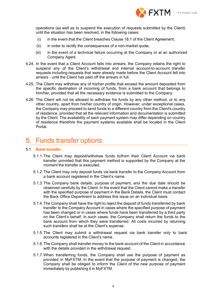

operations (as well as to suspend the execution of requests submitted by the Client) until the situation has been resolved, in the following cases:

- (i) in the event that the Client breaches Clause 18.1 of the Client Agreement;
- (ii) in order to rectify the consequences of a non-market quote;
- (iii) in the event of a technical failure occurring at the Company or at an authorized Company Agent.
- 4.24. In the event that a Client Account falls into arrears, the Company retains the right to suspend any of the Client's withdrawal and internal account-to-account transfer requests including requests that were already made before the Client Account fell into arrears - until the Client has paid off the arrears in full.
- 4.25. The Client may withdraw any of his/her profits that exceed the amount deposited from the specific destination of incoming of funds, from a bank account that belongs to him/her, provided that all the necessary evidence is submitted to the Company.
- 4.26. The Client will not be allowed to withdraw his funds by any other method, or to any other country, apart from his/her country of origin. However, under exceptional cases, the Company may proceed to send funds to a different country from the Client's country of residence, provided that all the relevant information and documentation is submitted by the Client. The availability of each payment system may differ depending on country of residence therefore the payment systems available shall be located in the Client Portal.

### <span id="page-7-0"></span>5. Funds transfer options

#### 5.1. **Bank transfer**

- 5.1.1.The Client may deposit/withdraw funds to/from their Client Account via bank transfer provided that this payment method is supported by the Company at the moment the transfer is executed.
- 5.1.2.The Client may only deposit funds via bank transfer to the Company Account from a bank account registered in the Client's name.
- 5.1.3.The Company bank details, purpose of payment, and the due date should be observed carefully by the Client. In the event that the Client cannot make a transfer with the specified purpose of payment in the Bank Details, the Client must contact the Back Office Department to address this issue on an individual basis.
- 5.1.4.The Company shall have the right to reject the deposit of funds transferred by bank transfer to the Company Account in cases where the specified purpose of payment has been changed or in cases where funds have been transferred by a third party on the Client's behalf. In such cases, the Company shall return the funds to the bank account from which they were transferred. All costs incurred by returning such transfers shall be at the Client's expense.
- 5.1.5.The Client may submit a withdrawal request via bank transfer only to bank accounts registered in the Client's name.
- 5.1.6.The Company shall transfer money to the bank account of the Client in accordance with the details provided in the withdrawal request.
- 5.1.7.When transferring funds, the Company shall use the purpose of payment as provided in MyFXTM. In the event that the purpose of payment is changed, the Company shall be obliged to inform the Client of the new purpose of payment immediately by publishing it in MyFXTM.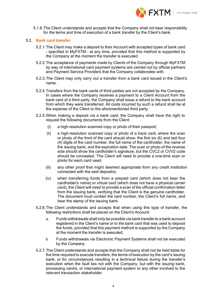

5.1.8.The Client understands and accepts that the Company shall not bear responsibility for the terms and time of execution of a bank transfer by the Client's bank.

#### 5.2. **Bank card transfer**

- 5.2.1.The Client may make a deposit to their Account with accepted types of bank card - specified in MyFXTM - at any time, provided that this method is supported by the Company at the moment the transfer is executed.
- 5.2.2.The acceptance of payments made by Clients of the Company through MyFXTM by way of international card payment systems are carried out by official partners and Payment Service Providers that the Company collaborates with.
- 5.2.3.The Client may only carry out a transfer from a bank card issued in the Client's name.
- 5.2.4.Transfers from the bank cards of third parties are not accepted by the Company. In cases where the Company receives a payment to a Client Account from the bank card of a third party, the Company shall issue a refund to the bank account from which they were transferred. All costs incurred by such a refund shall be at the expense of the Client or the aforementioned third party.
- 5.2.5.When making a deposit via a bank card, the Company shall have the right to request the following documents from the Client:
	- (i) a high-resolution scanned copy or photo of their passport;
	- (ii) a high-resolution scanned copy or photo of a bank card, where the scan or photo of the front of the card should show: the first six (6) and last four (4) digits of the card number, the full name of the cardholder, the name of the issuing bank, and the expiration date. The scan or photo of the reverse side should show the cardholder's signature, but the CVC2 or CVV2 code should be concealed. The Client will need to provide a one-time scan or photo for each card used;
	- (iii) any other proof that might deemed appropriate from any credit institution connected with the said deposit/s;
	- (iv) when transferring funds from a prepaid card (which does not bear the cardholder's name) or virtual card (which does not have a physical carrier card), the Client will need to provide a scan of the official confirmation letter from the issuing bank, verifying that the Client is the genuine cardholder. The document must contain the card number, the Client's full name, and bear the stamp of the issuing bank.
- 5.2.6.The Client understands and accepts that when using this type of transfer, the following restrictions shall be placed on the Client's Account:
	- a. Funds withdrawals shall only be possible via bank transfer to a bank account registered in the Client's name or to the bank card that was used to deposit the funds, provided that this payment method is supported by the Company at the moment the transfer is executed;
	- b. Funds withdrawals via Electronic Payment Systems shall not be executed by the Company.
- 5.2.7.The Client understands and accepts that the Company shall not be held liable for the time required to execute transfers, the terms of execution by the card's issuing bank, or for circumstances resulting in a technical failure during the transfer's execution when the fault lies not with the Company, but with the issuing bank, processing centre, or international payment system or any other involved to the relevant transaction stakeholder.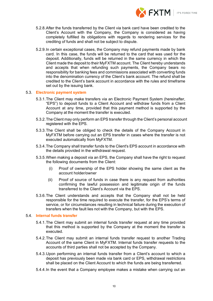

- 5.2.8.After the funds transferred by the Client via bank card have been credited to the Client's Account with the Company, the Company is considered as having completely fulfilled its obligations with regards to rendering services for the crediting of funds and shall not be subject to dispute.
- 5.2.9.In certain exceptional cases, the Company may refund payments made by bank card. In this case, the funds will be returned to the card that was used for the deposit. Additionally, funds will be returned in the same currency in which the Client made the deposit to their MyFXTM account. The Client hereby understands and accepts that when refunding such payments, the Company bears no responsibility for banking fees and commissions associated with converting funds into the denomination currency of the Client's bank account. The refund shall be credited to the Client's bank account in accordance with the rules and timeframe set out by the issuing bank.

#### 5.3. **Electronic payment system**

- 5.3.1.The Client may make transfers via an Electronic Payment System (hereinafter, "EPS") to deposit funds to a Client Account and withdraw funds from a Client Account at any time, provided that this payment method is supported by the Company at the moment the transfer is executed.
- 5.3.2.The Client may only perform an EPS transfer through the Client's personal account registered with the EPS.
- 5.3.3.The Client shall be obliged to check the details of the Company Account in MyFXTM before carrying out an EPS transfer in cases where the transfer is not executed automatically from MyFXTM.
- 5.3.4.The Company shall transfer funds to the Client's EPS account in accordance with the details provided in the withdrawal request.
- 5.3.5.When making a deposit via an EPS, the Company shall have the right to request the following documents from the Client:
	- (i) Proof of ownership of the EPS holder showing the same client as the account holder/owner
	- (ii) Proof of source of funds in case there is any request from authorities confirming the lawful possession and legitimate origin of the funds transferred to the Client's Account via the EPS.
- 5.3.6.The Client understands and accepts that the Company shall not be held responsible for the time required to execute the transfer, for the EPS's terms of service, or for circumstances resulting in technical failure during the execution of transfers when the fault lies not with the Company, but with the EPS.

#### 5.4. **Internal funds transfer**

- 5.4.1.The Client may submit an internal funds transfer request at any time provided that this method is supported by the Company at the moment the transfer is executed.
- 5.4.2.The Client may submit an internal funds transfer request to another Trading Account of the same Client in MyFXTM. Internal funds transfer requests to the accounts of third parties shall not be accepted by the Company.
- 5.4.3.Upon performing an internal funds transfer from a Client's account to which a deposit has previously been made via bank card or EPS, withdrawal restrictions shall be placed on the Client Account to which the funds are being transferred.
- 5.4.4.In the event that a Company employee makes a mistake when carrying out an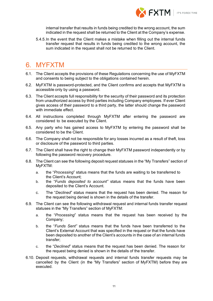

internal transfer that results in funds being credited to the wrong account, the sum indicated in the request shall be returned to the Client at the Company's expense.

5.4.5.In the event that the Client makes a mistake when filling out the internal funds transfer request that results in funds being credited to the wrong account, the sum indicated in the request shall not be returned to the Client.

### <span id="page-10-0"></span>6. MYFXTM

- 6.1. The Client accepts the provisions of these Regulations concerning the use of MyFXTM and consents to being subject to the obligations contained herein.
- 6.2. MyFXTM is password-protected, and the Client confirms and accepts that MyFXTM is accessible only by using a password.
- 6.3. The Client accepts full responsibility for the security of their password and its protection from unauthorized access by third parties including Company employees. If ever Client gives access of their password to a third party, the latter should change the password with immediate effect.
- 6.4. All instructions completed through MyFXTM after entering the password are considered to be executed by the Client.
- 6.5. Any party who has gained access to MyFXTM by entering the password shall be considered to be the Client.
- 6.6. The Company shall not be responsible for any losses incurred as a result of theft, loss or disclosure of the password to third parties.
- 6.7. The Client shall have the right to change their MyFXTM password independently or by following the password recovery procedure.
- 6.8. The Client can see the following deposit request statuses in the "My Transfers" section of MyFXTM:
	- a. the "*Processing*" status means that the funds are waiting to be transferred to the Client's Account;
	- b. the "*Funds deposited to account"* status means that the funds have been deposited to the Client's Account.
	- c. The "*Declined*" status means that the request has been denied. The reason for the request being denied is shown in the details of the transfer.
- 6.9. The Client can see the following withdrawal request and internal funds transfer request statuses in the "My Transfers" section of MyFXTM:
	- a. the "*Processing*" status means that the request has been received by the Company;
	- b. the "*Funds Sent"* status means that the funds have been transferred to the Client's External Account that was specified in the request or that the funds have been deposited to another of the Client's accounts in the case of an internal funds transfer;
	- c. the "*Declined*" status means that the request has been denied. The reason for the request being denied is shown in the details of the transfer.
- 6.10. Deposit requests, withdrawal requests and internal funds transfer requests may be cancelled by the Client (in the "My Transfers" section of MyFXTM) before they are executed.